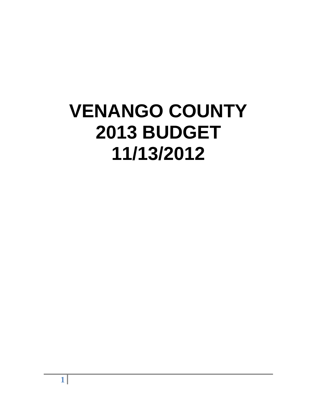# **VENANGO COUNTY 2013 BUDGET 11/13/2012**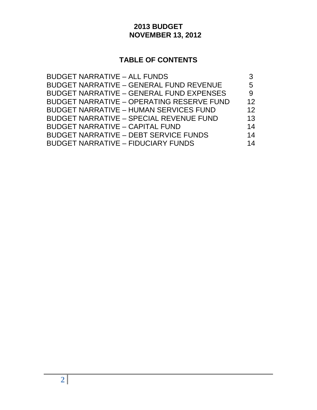# **2013 BUDGET NOVEMBER 13, 2012**

# **TABLE OF CONTENTS**

| <b>BUDGET NARRATIVE - ALL FUNDS</b>              |                   |
|--------------------------------------------------|-------------------|
| <b>BUDGET NARRATIVE - GENERAL FUND REVENUE</b>   | 5                 |
| <b>BUDGET NARRATIVE - GENERAL FUND EXPENSES</b>  | 9                 |
| <b>BUDGET NARRATIVE - OPERATING RESERVE FUND</b> | $12 \overline{ }$ |
| <b>BUDGET NARRATIVE - HUMAN SERVICES FUND</b>    | 12                |
| <b>BUDGET NARRATIVE - SPECIAL REVENUE FUND</b>   | 13                |
| <b>BUDGET NARRATIVE - CAPITAL FUND</b>           | 14                |
| <b>BUDGET NARRATIVE - DEBT SERVICE FUNDS</b>     | 14                |
| <b>BUDGET NARRATIVE - FIDUCIARY FUNDS</b>        | 14                |
|                                                  |                   |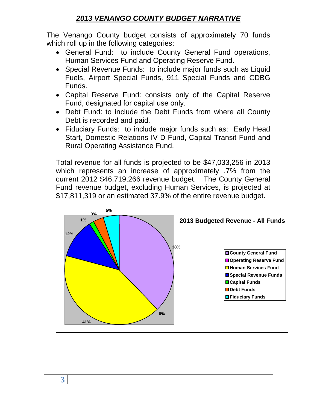# *2013 VENANGO COUNTY BUDGET NARRATIVE*

The Venango County budget consists of approximately 70 funds which roll up in the following categories:

- General Fund: to include County General Fund operations, Human Services Fund and Operating Reserve Fund.
- Special Revenue Funds: to include major funds such as Liquid Fuels, Airport Special Funds, 911 Special Funds and CDBG Funds.
- Capital Reserve Fund: consists only of the Capital Reserve Fund, designated for capital use only.
- Debt Fund: to include the Debt Funds from where all County Debt is recorded and paid.
- Fiduciary Funds: to include major funds such as: Early Head Start, Domestic Relations IV-D Fund, Capital Transit Fund and Rural Operating Assistance Fund.

Total revenue for all funds is projected to be \$47,033,256 in 2013 which represents an increase of approximately .7% from the current 2012 \$46,719,266 revenue budget. The County General Fund revenue budget, excluding Human Services, is projected at \$17,811,319 or an estimated 37.9% of the entire revenue budget.

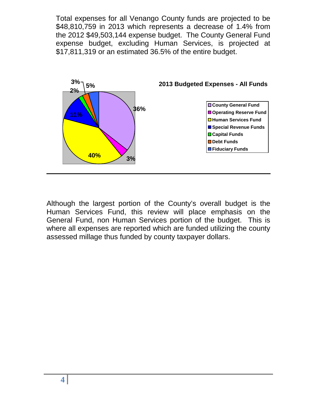Total expenses for all Venango County funds are projected to be \$48,810,759 in 2013 which represents a decrease of 1.4% from the 2012 \$49,503,144 expense budget. The County General Fund expense budget, excluding Human Services, is projected at \$17,811,319 or an estimated 36.5% of the entire budget.



Although the largest portion of the County's overall budget is the Human Services Fund, this review will place emphasis on the General Fund, non Human Services portion of the budget. This is where all expenses are reported which are funded utilizing the county assessed millage thus funded by county taxpayer dollars.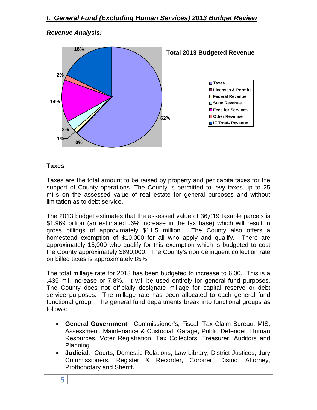#### *Revenue Analysis:*



#### **Taxes**

Taxes are the total amount to be raised by property and per capita taxes for the support of County operations. The County is permitted to levy taxes up to 25 mills on the assessed value of real estate for general purposes and without limitation as to debt service.

The 2013 budget estimates that the assessed value of 36,019 taxable parcels is \$1.969 billion (an estimated .6% increase in the tax base) which will result in gross billings of approximately \$11.5 million. The County also offers a homestead exemption of \$10,000 for all who apply and qualify. There are approximately 15,000 who qualify for this exemption which is budgeted to cost the County approximately \$890,000. The County's non delinquent collection rate on billed taxes is approximately 85%.

The total millage rate for 2013 has been budgeted to increase to 6.00. This is a .435 mill increase or 7.8%. It will be used entirely for general fund purposes. The County does not officially designate millage for capital reserve or debt service purposes. The millage rate has been allocated to each general fund functional group. The general fund departments break into functional groups as follows:

- **General Government**: Commissioner's, Fiscal, Tax Claim Bureau, MIS, Assessment, Maintenance & Custodial, Garage, Public Defender, Human Resources, Voter Registration, Tax Collectors, Treasurer, Auditors and Planning.
- **Judicial**: Courts, Domestic Relations, Law Library, District Justices, Jury Commissioners, Register & Recorder, Coroner, District Attorney, Prothonotary and Sheriff.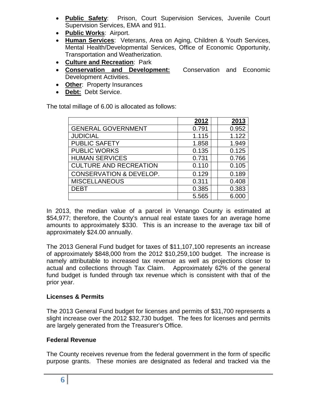- **Public Safety**: Prison, Court Supervision Services, Juvenile Court Supervision Services, EMA and 911.
- **Public Works**: Airport.
- **Human Services**: Veterans, Area on Aging, Children & Youth Services, Mental Health/Developmental Services, Office of Economic Opportunity, Transportation and Weatherization.
- **Culture and Recreation**: Park
- **Conservation and Development:** Conservation and Economic Development Activities.
- **Other**: Property Insurances
- **Debt:** Debt Service.

The total millage of 6.00 is allocated as follows:

|                                    | 2012  | 2013  |
|------------------------------------|-------|-------|
| <b>GENERAL GOVERNMENT</b>          | 0.791 | 0.952 |
| <b>JUDICIAL</b>                    | 1.115 | 1.122 |
| <b>PUBLIC SAFETY</b>               | 1.858 | 1.949 |
| <b>PUBLIC WORKS</b>                | 0.135 | 0.125 |
| <b>HUMAN SERVICES</b>              | 0.731 | 0.766 |
| <b>CULTURE AND RECREATION</b>      | 0.110 | 0.105 |
| <b>CONSERVATION &amp; DEVELOP.</b> | 0.129 | 0.189 |
| <b>MISCELLANEOUS</b>               | 0.311 | 0.408 |
| <b>DEBT</b>                        | 0.385 | 0.383 |
|                                    | 5.565 | 6.00  |

In 2013, the median value of a parcel in Venango County is estimated at \$54,977; therefore, the County's annual real estate taxes for an average home amounts to approximately \$330. This is an increase to the average tax bill of approximately \$24.00 annually.

The 2013 General Fund budget for taxes of \$11,107,100 represents an increase of approximately \$848,000 from the 2012 \$10,259,100 budget. The increase is namely attributable to increased tax revenue as well as projections closer to actual and collections through Tax Claim. Approximately 62% of the general fund budget is funded through tax revenue which is consistent with that of the prior year.

#### **Licenses & Permits**

The 2013 General Fund budget for licenses and permits of \$31,700 represents a slight increase over the 2012 \$32,730 budget. The fees for licenses and permits are largely generated from the Treasurer's Office.

#### **Federal Revenue**

The County receives revenue from the federal government in the form of specific purpose grants. These monies are designated as federal and tracked via the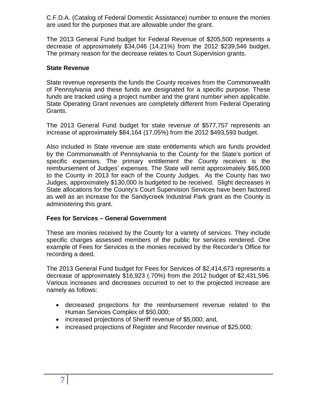C.F.D.A. (Catalog of Federal Domestic Assistance) number to ensure the monies are used for the purposes that are allowable under the grant.

The 2013 General Fund budget for Federal Revenue of \$205,500 represents a decrease of approximately \$34,046 (14.21%) from the 2012 \$239,546 budget. The primary reason for the decrease relates to Court Supervision grants.

#### **State Revenue**

State revenue represents the funds the County receives from the Commonwealth of Pennsylvania and these funds are designated for a specific purpose. These funds are tracked using a project number and the grant number when applicable. State Operating Grant revenues are completely different from Federal Operating Grants.

The 2013 General Fund budget for state revenue of \$577,757 represents an increase of approximately \$84,164 (17.05%) from the 2012 \$493,593 budget.

Also included in State revenue are state entitlements which are funds provided by the Commonwealth of Pennsylvania to the County for the State's portion of specific expenses. The primary entitlement the County receives is the reimbursement of Judges' expenses. The State will remit approximately \$65,000 to the County in 2013 for each of the County Judges. As the County has two Judges, approximately \$130,000 is budgeted to be received. Slight decreases in State allocations for the County's Court Supervision Services have been factored as well as an increase for the Sandycreek Industrial Park grant as the County is administering this grant.

#### **Fees for Services – General Government**

These are monies received by the County for a variety of services. They include specific charges assessed members of the public for services rendered. One example of Fees for Services is the monies received by the Recorder's Office for recording a deed.

The 2013 General Fund budget for Fees for Services of \$2,414,673 represents a decrease of approximately \$16,923 (.70%) from the 2012 budget of \$2,431,596. Various increases and decreases occurred to net to the projected increase are namely as follows:

- decreased projections for the reimbursement revenue related to the Human Services Complex of \$50,000;
- increased projections of Sheriff revenue of \$5,000; and,
- increased projections of Register and Recorder revenue of \$25,000;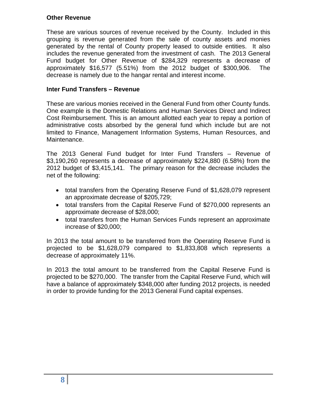#### **Other Revenue**

These are various sources of revenue received by the County. Included in this grouping is revenue generated from the sale of county assets and monies generated by the rental of County property leased to outside entities. It also includes the revenue generated from the investment of cash. The 2013 General Fund budget for Other Revenue of \$284,329 represents a decrease of approximately \$16,577 (5.51%) from the 2012 budget of \$300,906. The decrease is namely due to the hangar rental and interest income.

#### **Inter Fund Transfers – Revenue**

These are various monies received in the General Fund from other County funds. One example is the Domestic Relations and Human Services Direct and Indirect Cost Reimbursement. This is an amount allotted each year to repay a portion of administrative costs absorbed by the general fund which include but are not limited to Finance, Management Information Systems, Human Resources, and Maintenance.

The 2013 General Fund budget for Inter Fund Transfers – Revenue of \$3,190,260 represents a decrease of approximately \$224,880 (6.58%) from the 2012 budget of \$3,415,141. The primary reason for the decrease includes the net of the following:

- total transfers from the Operating Reserve Fund of \$1,628,079 represent an approximate decrease of \$205,729;
- total transfers from the Capital Reserve Fund of \$270,000 represents an approximate decrease of \$28,000;
- total transfers from the Human Services Funds represent an approximate increase of \$20,000;

In 2013 the total amount to be transferred from the Operating Reserve Fund is projected to be \$1,628,079 compared to \$1,833,808 which represents a decrease of approximately 11%.

In 2013 the total amount to be transferred from the Capital Reserve Fund is projected to be \$270,000. The transfer from the Capital Reserve Fund, which will have a balance of approximately \$348,000 after funding 2012 projects, is needed in order to provide funding for the 2013 General Fund capital expenses.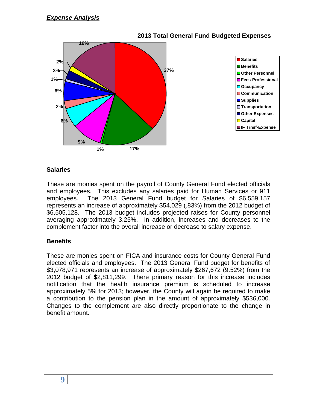

#### **2013 Total General Fund Budgeted Expenses**

#### **Salaries**

These are monies spent on the payroll of County General Fund elected officials and employees. This excludes any salaries paid for Human Services or 911 employees. The 2013 General Fund budget for Salaries of \$6,559,157 represents an increase of approximately \$54,029 (.83%) from the 2012 budget of \$6,505,128. The 2013 budget includes projected raises for County personnel averaging approximately 3.25%. In addition, increases and decreases to the complement factor into the overall increase or decrease to salary expense.

#### **Benefits**

These are monies spent on FICA and insurance costs for County General Fund elected officials and employees. The 2013 General Fund budget for benefits of \$3,078,971 represents an increase of approximately \$267,672 (9.52%) from the 2012 budget of \$2,811,299. There primary reason for this increase includes notification that the health insurance premium is scheduled to increase approximately 5% for 2013; however, the County will again be required to make a contribution to the pension plan in the amount of approximately \$536,000. Changes to the complement are also directly proportionate to the change in benefit amount.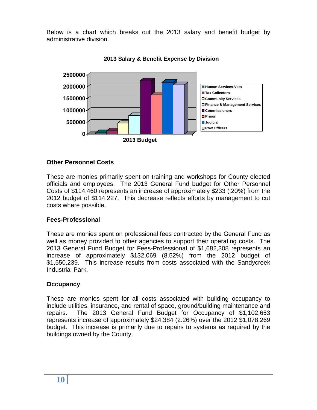Below is a chart which breaks out the 2013 salary and benefit budget by administrative division.





#### **Other Personnel Costs**

These are monies primarily spent on training and workshops for County elected officials and employees. The 2013 General Fund budget for Other Personnel Costs of \$114,460 represents an increase of approximately \$233 (.20%) from the 2012 budget of \$114,227. This decrease reflects efforts by management to cut costs where possible.

#### **Fees-Professional**

These are monies spent on professional fees contracted by the General Fund as well as money provided to other agencies to support their operating costs. The 2013 General Fund Budget for Fees-Professional of \$1,682,308 represents an increase of approximately \$132,069 (8.52%) from the 2012 budget of \$1,550,239. This increase results from costs associated with the Sandycreek Industrial Park.

#### **Occupancy**

These are monies spent for all costs associated with building occupancy to include utilities, insurance, and rental of space, ground/building maintenance and repairs. The 2013 General Fund Budget for Occupancy of \$1,102,653 represents increase of approximately \$24,384 (2.26%) over the 2012 \$1,078,269 budget. This increase is primarily due to repairs to systems as required by the buildings owned by the County.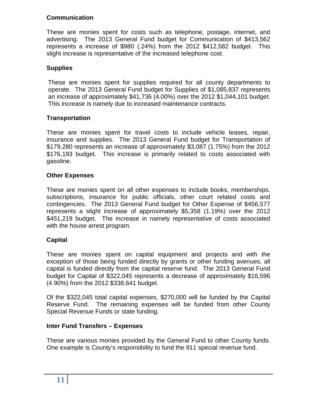#### **Communication**

These are monies spent for costs such as telephone, postage, internet, and advertising. The 2013 General Fund budget for Communication of \$413,562 represents a increase of \$980 (.24%) from the 2012 \$412,582 budget. This slight increase is representative of the increased telephone cost.

# **Supplies**

These are monies spent for supplies required for all county departments to operate. The 2013 General Fund budget for Supplies of \$1,085,837 represents an increase of approximately \$41,736 (4.00%) over the 2012 \$1,044,101 budget. This increase is namely due to increased maintenance contracts.

## **Transportation**

These are monies spent for travel costs to include vehicle leases, repair, insurance and supplies. The 2013 General Fund budget for Transportation of \$179,280 represents an increase of approximately \$3,087 (1.75%) from the 2012 \$176,193 budget. This increase is primarily related to costs associated with gasoline.

#### **Other Expenses**

These are monies spent on all other expenses to include books, memberships, subscriptions, insurance for public officials, other court related costs and contingencies. The 2013 General Fund budget for Other Expense of \$456,577 represents a slight increase of approximately \$5,358 (1.19%) over the 2012 \$451,219 budget. The increase in namely representative of costs associated with the house arrest program.

## **Capital**

These are monies spent on capital equipment and projects and with the exception of those being funded directly by grants or other funding avenues, all capital is funded directly from the capital reserve fund. The 2013 General Fund budget for Capital of \$322,045 represents a decrease of approximately \$16,596 (4.90%) from the 2012 \$338,641 budget.

Of the \$322,045 total capital expenses, \$270,000 will be funded by the Capital Reserve Fund. The remaining expenses will be funded from other County Special Revenue Funds or state funding.

#### **Inter Fund Transfers – Expenses**

These are various monies provided by the General Fund to other County funds. One example is County's responsibility to fund the 911 special revenue fund.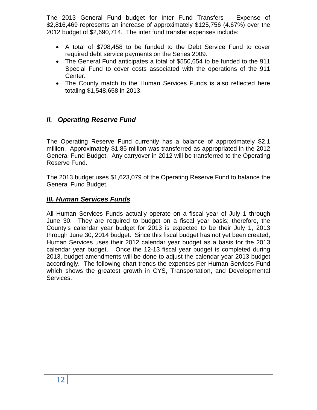The 2013 General Fund budget for Inter Fund Transfers – Expense of \$2,816,469 represents an increase of approximately \$125,756 (4.67%) over the 2012 budget of \$2,690,714. The inter fund transfer expenses include:

- A total of \$708,458 to be funded to the Debt Service Fund to cover required debt service payments on the Series 2009.
- The General Fund anticipates a total of \$550,654 to be funded to the 911 Special Fund to cover costs associated with the operations of the 911 Center.
- The County match to the Human Services Funds is also reflected here totaling \$1,548,658 in 2013.

# *II. Operating Reserve Fund*

The Operating Reserve Fund currently has a balance of approximately \$2.1 million. Approximately \$1.85 million was transferred as appropriated in the 2012 General Fund Budget. Any carryover in 2012 will be transferred to the Operating Reserve Fund.

The 2013 budget uses \$1,623,079 of the Operating Reserve Fund to balance the General Fund Budget.

#### *III. Human Services Funds*

All Human Services Funds actually operate on a fiscal year of July 1 through June 30. They are required to budget on a fiscal year basis; therefore, the County's calendar year budget for 2013 is expected to be their July 1, 2013 through June 30, 2014 budget. Since this fiscal budget has not yet been created, Human Services uses their 2012 calendar year budget as a basis for the 2013 calendar year budget. Once the 12-13 fiscal year budget is completed during 2013, budget amendments will be done to adjust the calendar year 2013 budget accordingly. The following chart trends the expenses per Human Services Fund which shows the greatest growth in CYS, Transportation, and Developmental Services.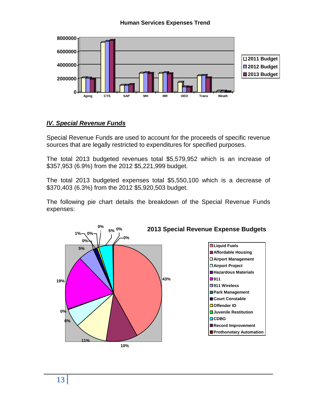#### **Human Services Expenses Trend**



#### *IV. Special Revenue Funds*

Special Revenue Funds are used to account for the proceeds of specific revenue sources that are legally restricted to expenditures for specified purposes.

The total 2013 budgeted revenues total \$5,579,952 which is an increase of \$357,953 (6.9%) from the 2012 \$5,221,999 budget.

The total 2013 budgeted expenses total \$5,550,100 which is a decrease of \$370,403 (6.3%) from the 2012 \$5,920,503 budget.

The following pie chart details the breakdown of the Special Revenue Funds expenses:

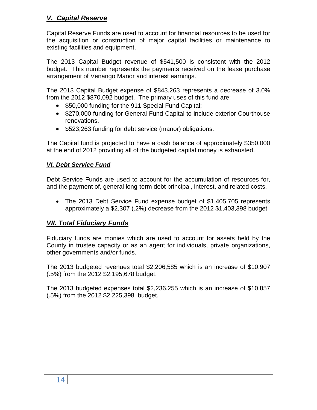# *V. Capital Reserve*

Capital Reserve Funds are used to account for financial resources to be used for the acquisition or construction of major capital facilities or maintenance to existing facilities and equipment.

The 2013 Capital Budget revenue of \$541,500 is consistent with the 2012 budget. This number represents the payments received on the lease purchase arrangement of Venango Manor and interest earnings.

The 2013 Capital Budget expense of \$843,263 represents a decrease of 3.0% from the 2012 \$870,092 budget. The primary uses of this fund are:

- \$50,000 funding for the 911 Special Fund Capital;
- \$270,000 funding for General Fund Capital to include exterior Courthouse renovations.
- \$523,263 funding for debt service (manor) obligations.

The Capital fund is projected to have a cash balance of approximately \$350,000 at the end of 2012 providing all of the budgeted capital money is exhausted.

# *VI. Debt Service Fund*

Debt Service Funds are used to account for the accumulation of resources for, and the payment of, general long-term debt principal, interest, and related costs.

• The 2013 Debt Service Fund expense budget of \$1,405,705 represents approximately a \$2,307 (.2%) decrease from the 2012 \$1,403,398 budget.

# *VII. Total Fiduciary Funds*

Fiduciary funds are monies which are used to account for assets held by the County in trustee capacity or as an agent for individuals, private organizations, other governments and/or funds.

The 2013 budgeted revenues total \$2,206,585 which is an increase of \$10,907 (.5%) from the 2012 \$2,195,678 budget.

The 2013 budgeted expenses total \$2,236,255 which is an increase of \$10,857 (.5%) from the 2012 \$2,225,398 budget.